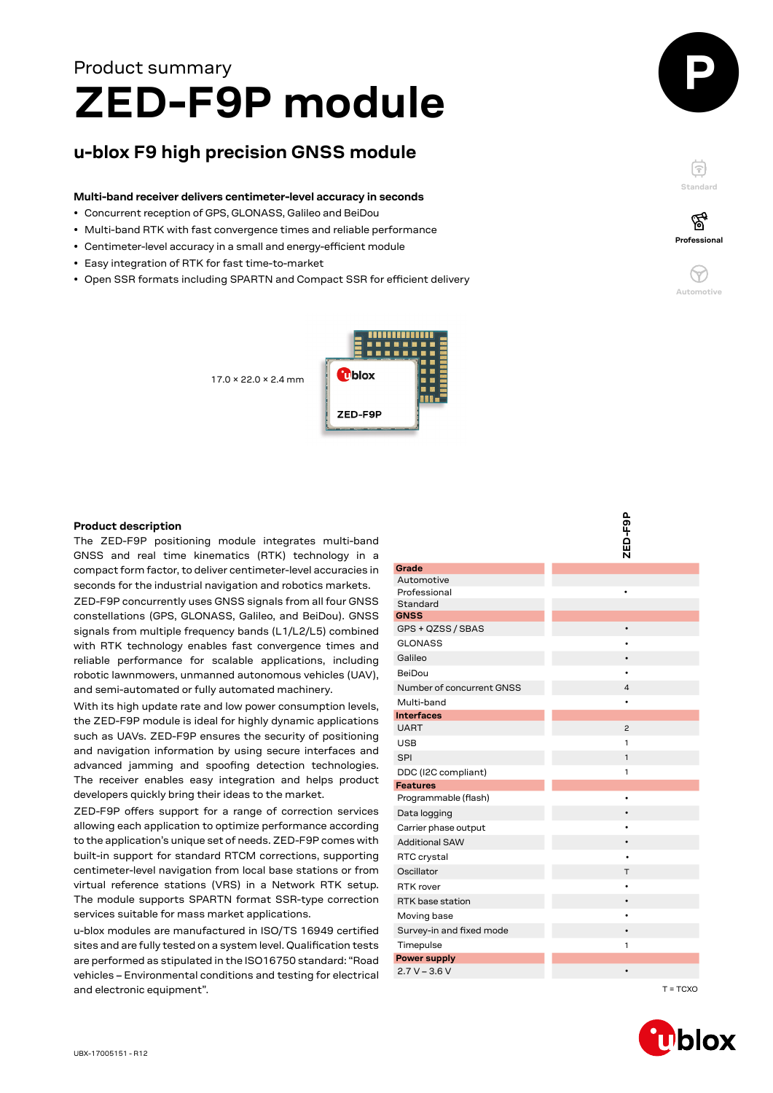# **ZED-F9P module** Product summary

# **u-blox F9 high precision GNSS module**

# **Multi-band receiver delivers centimeter-level accuracy in seconds**

- Concurrent reception of GPS, GLONASS, Galileo and BeiDou
- Multi-band RTK with fast convergence times and reliable performance
- Centimeter-level accuracy in a small and energy-efficient module
- Easy integration of RTK for fast time-to-market
- Open SSR formats including SPARTN and Compact SSR for efficient delivery

17.0 × 22.0 × 2.4 mm







F

**Professional**

 $\left(\gamma\right)$ **Automotive**

# **Product description**

The ZED-F9P positioning module integrates multi-band GNSS and real time kinematics (RTK) technology in a compact form factor, to deliver centimeter-level accuracies in seconds for the industrial navigation and robotics markets.

ZED-F9P concurrently uses GNSS signals from all four GNSS constellations (GPS, GLONASS, Galileo, and BeiDou). GNSS signals from multiple frequency bands (L1/L2/L5) combined with RTK technology enables fast convergence times and reliable performance for scalable applications, including robotic lawnmowers, unmanned autonomous vehicles (UAV), and semi-automated or fully automated machinery.

With its high update rate and low power consumption levels, the ZED-F9P module is ideal for highly dynamic applications such as UAVs. ZED-F9P ensures the security of positioning and navigation information by using secure interfaces and advanced jamming and spoofing detection technologies. The receiver enables easy integration and helps product developers quickly bring their ideas to the market.

ZED-F9P offers support for a range of correction services allowing each application to optimize performance according to the application's unique set of needs. ZED-F9P comes with built-in support for standard RTCM corrections, supporting centimeter-level navigation from local base stations or from virtual reference stations (VRS) in a Network RTK setup. The module supports SPARTN format SSR-type correction services suitable for mass market applications.

u-blox modules are manufactured in ISO/TS 16949 certified sites and are fully tested on a system level. Qualification tests are performed as stipulated in the ISO16750 standard: "Road vehicles – Environmental conditions and testing for electrical and electronic equipment".

|                           | ZED-F9P        |
|---------------------------|----------------|
|                           |                |
| Grade                     |                |
| Automotive                |                |
| Professional              |                |
| Standard                  |                |
| <b>GNSS</b>               |                |
| GPS + QZSS / SBAS         | $\bullet$      |
| <b>GLONASS</b>            |                |
| Galileo                   |                |
| BeiDou                    |                |
| Number of concurrent GNSS | 4              |
| Multi-band                | $\bullet$      |
| <b>Interfaces</b>         |                |
| <b>UART</b>               | $\overline{c}$ |
| <b>USB</b>                | 1              |
| <b>SPI</b>                | 1              |
| DDC (I2C compliant)       | 1              |
| <b>Features</b>           |                |
| Programmable (flash)      | $\bullet$      |
| Data logging              |                |
| Carrier phase output      | $\bullet$      |
| <b>Additional SAW</b>     | $\bullet$      |
| RTC crystal               |                |
| Oscillator                | т              |
| RTK rover                 | ٠              |
| RTK base station          | $\bullet$      |
| Moving base               | ٠              |
| Survey-in and fixed mode  |                |
| Timepulse                 | 1              |
| <b>Power supply</b>       |                |
| $2.7 V - 3.6 V$           |                |

ခဲ့